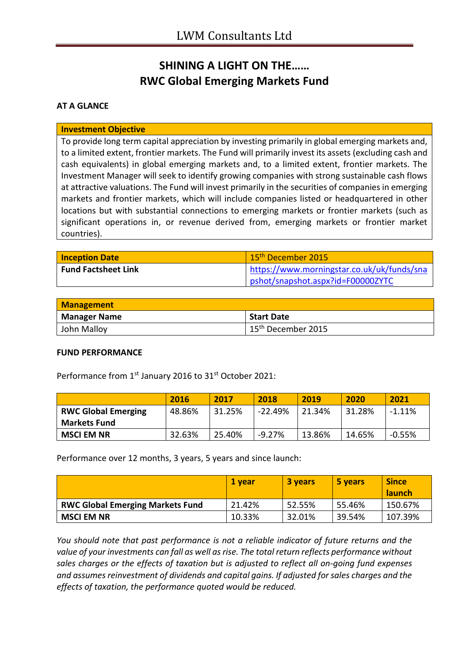# **SHINING A LIGHT ON THE…… RWC Global Emerging Markets Fund**

### **AT A GLANCE**

### **Investment Objective**

To provide long term capital appreciation by investing primarily in global emerging markets and, to a limited extent, frontier markets. The Fund will primarily invest its assets (excluding cash and cash equivalents) in global emerging markets and, to a limited extent, frontier markets. The Investment Manager will seek to identify growing companies with strong sustainable cash flows at attractive valuations. The Fund will invest primarily in the securities of companies in emerging markets and frontier markets, which will include companies listed or headquartered in other locations but with substantial connections to emerging markets or frontier markets (such as significant operations in, or revenue derived from, emerging markets or frontier market countries).

| <b>Inception Date</b>      | 15 <sup>th</sup> December 2015             |
|----------------------------|--------------------------------------------|
| <b>Fund Factsheet Link</b> | https://www.morningstar.co.uk/uk/funds/sna |
|                            | pshot/snapshot.aspx?id=F00000ZYTC          |

| <b>Management</b> |                                |
|-------------------|--------------------------------|
| Manager Name      | <b>Start Date</b>              |
| John Malloy       | 15 <sup>th</sup> December 2015 |

#### **FUND PERFORMANCE**

Performance from 1<sup>st</sup> January 2016 to 31<sup>st</sup> October 2021:

|                            | 2016   | 2017   | 2018    | 2019   | 2020   | 2021      |
|----------------------------|--------|--------|---------|--------|--------|-----------|
| <b>RWC Global Emerging</b> | 48.86% | 31.25% | -22.49% | 21.34% | 31.28% | $-1.11\%$ |
| <b>Markets Fund</b>        |        |        |         |        |        |           |
| <b>MSCI EM NR</b>          | 32.63% | 25.40% | -9.27%  | 13.86% | 14.65% | $-0.55%$  |

Performance over 12 months, 3 years, 5 years and since launch:

|                                         | 1 vear | 3 years | 5 years | <b>Since</b><br><b>launch</b> |
|-----------------------------------------|--------|---------|---------|-------------------------------|
| <b>RWC Global Emerging Markets Fund</b> | 21.42% | 52.55%  | 55.46%  | 150.67%                       |
| <b>MSCI EM NR</b>                       | 10.33% | 32.01%  | 39.54%  | 107.39%                       |

*You should note that past performance is not a reliable indicator of future returns and the value of your investments can fall as well as rise. The total return reflects performance without sales charges or the effects of taxation but is adjusted to reflect all on-going fund expenses and assumes reinvestment of dividends and capital gains. If adjusted for sales charges and the effects of taxation, the performance quoted would be reduced.*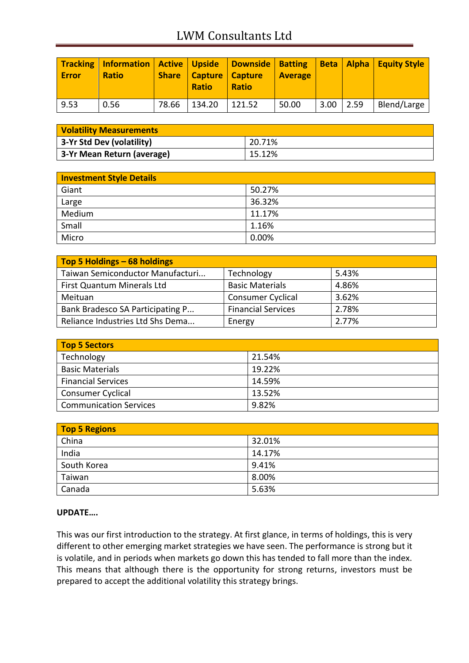# LWM Consultants Ltd

| <b>Error</b> | Tracking   Information   Active   Upside   Downside   Batting<br><b>Ratio</b> |       | <b>Share   Capture   Capture</b><br><b>Ratio</b> | Ratio  | <b>Average</b> |               | Beta   Alpha   Equity Style |
|--------------|-------------------------------------------------------------------------------|-------|--------------------------------------------------|--------|----------------|---------------|-----------------------------|
| 9.53         | 0.56                                                                          | 78.66 | 134.20                                           | 121.52 | 50.00          | $3.00$   2.59 | Blend/Large                 |

| <b>Volatility Measurements</b> |        |  |
|--------------------------------|--------|--|
| 3-Yr Std Dev (volatility)      | 20.71% |  |
| 3-Yr Mean Return (average)     | 15.12% |  |

| <b>Investment Style Details</b> |        |  |
|---------------------------------|--------|--|
| Giant                           | 50.27% |  |
| Large                           | 36.32% |  |
| Medium                          | 11.17% |  |
| Small                           | 1.16%  |  |
| Micro                           | 0.00%  |  |

| Top 5 Holdings - 68 holdings     |                           |       |
|----------------------------------|---------------------------|-------|
| Taiwan Semiconductor Manufacturi | Technology                | 5.43% |
| First Quantum Minerals Ltd       | <b>Basic Materials</b>    | 4.86% |
| Meituan                          | <b>Consumer Cyclical</b>  | 3.62% |
| Bank Bradesco SA Participating P | <b>Financial Services</b> | 2.78% |
| Reliance Industries Ltd Shs Dema | Energy                    | 2.77% |

| <b>Top 5 Sectors</b>          |        |
|-------------------------------|--------|
| Technology                    | 21.54% |
| <b>Basic Materials</b>        | 19.22% |
| <b>Financial Services</b>     | 14.59% |
| Consumer Cyclical             | 13.52% |
| <b>Communication Services</b> | 9.82%  |

| <b>Top 5 Regions</b> |        |  |
|----------------------|--------|--|
| China                | 32.01% |  |
| India                | 14.17% |  |
| South Korea          | 9.41%  |  |
| Taiwan               | 8.00%  |  |
| Canada               | 5.63%  |  |

## **UPDATE….**

This was our first introduction to the strategy. At first glance, in terms of holdings, this is very different to other emerging market strategies we have seen. The performance is strong but it is volatile, and in periods when markets go down this has tended to fall more than the index. This means that although there is the opportunity for strong returns, investors must be prepared to accept the additional volatility this strategy brings.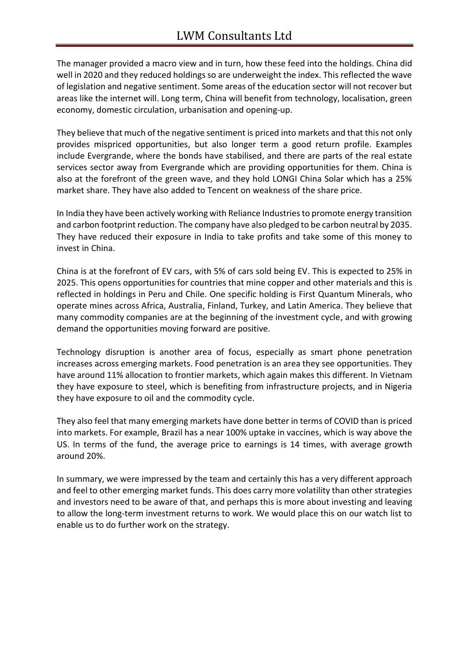The manager provided a macro view and in turn, how these feed into the holdings. China did well in 2020 and they reduced holdings so are underweight the index. This reflected the wave of legislation and negative sentiment. Some areas of the education sector will not recover but areas like the internet will. Long term, China will benefit from technology, localisation, green economy, domestic circulation, urbanisation and opening-up.

They believe that much of the negative sentiment is priced into markets and that this not only provides mispriced opportunities, but also longer term a good return profile. Examples include Evergrande, where the bonds have stabilised, and there are parts of the real estate services sector away from Evergrande which are providing opportunities for them. China is also at the forefront of the green wave, and they hold LONGI China Solar which has a 25% market share. They have also added to Tencent on weakness of the share price.

In India they have been actively working with Reliance Industries to promote energy transition and carbon footprint reduction. The company have also pledged to be carbon neutral by 2035. They have reduced their exposure in India to take profits and take some of this money to invest in China.

China is at the forefront of EV cars, with 5% of cars sold being EV. This is expected to 25% in 2025. This opens opportunities for countries that mine copper and other materials and this is reflected in holdings in Peru and Chile. One specific holding is First Quantum Minerals, who operate mines across Africa, Australia, Finland, Turkey, and Latin America. They believe that many commodity companies are at the beginning of the investment cycle, and with growing demand the opportunities moving forward are positive.

Technology disruption is another area of focus, especially as smart phone penetration increases across emerging markets. Food penetration is an area they see opportunities. They have around 11% allocation to frontier markets, which again makes this different. In Vietnam they have exposure to steel, which is benefiting from infrastructure projects, and in Nigeria they have exposure to oil and the commodity cycle.

They also feel that many emerging markets have done better in terms of COVID than is priced into markets. For example, Brazil has a near 100% uptake in vaccines, which is way above the US. In terms of the fund, the average price to earnings is 14 times, with average growth around 20%.

In summary, we were impressed by the team and certainly this has a very different approach and feel to other emerging market funds. This does carry more volatility than other strategies and investors need to be aware of that, and perhaps this is more about investing and leaving to allow the long-term investment returns to work. We would place this on our watch list to enable us to do further work on the strategy.